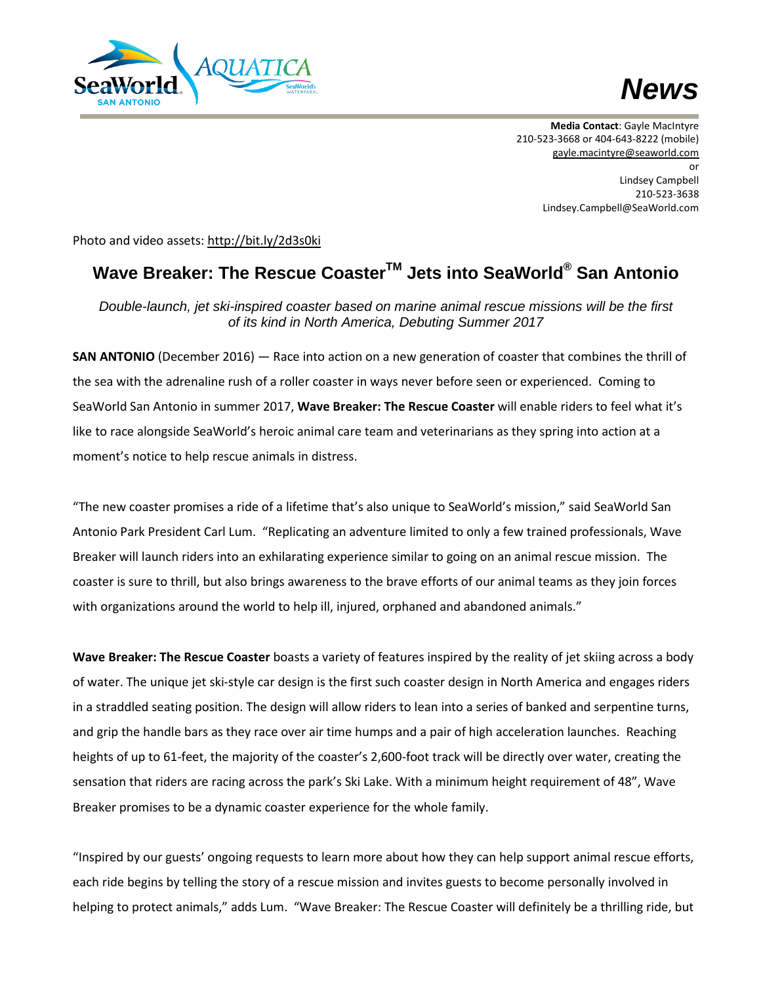



**Media Contact**: Gayle MacIntyre 210-523-3668 or 404-643-8222 (mobile) [gayle.macintyre@seaworld.com](mailto:gayle.macintyre@seaworld.com) or Lindsey Campbell 210-523-3638 Lindsey.Campbell@SeaWorld.com

Photo and video assets: <http://bit.ly/2d3s0ki>

## **Wave Breaker: The Rescue CoasterTM Jets into SeaWorld® San Antonio**

*Double-launch, jet ski-inspired coaster based on marine animal rescue missions will be the first of its kind in North America, Debuting Summer 2017*

**SAN ANTONIO** (December 2016) — Race into action on a new generation of coaster that combines the thrill of the sea with the adrenaline rush of a roller coaster in ways never before seen or experienced. Coming to SeaWorld San Antonio in summer 2017, **Wave Breaker: The Rescue Coaster** will enable riders to feel what it's like to race alongside SeaWorld's heroic animal care team and veterinarians as they spring into action at a moment's notice to help rescue animals in distress.

"The new coaster promises a ride of a lifetime that's also unique to SeaWorld's mission," said SeaWorld San Antonio Park President Carl Lum. "Replicating an adventure limited to only a few trained professionals, Wave Breaker will launch riders into an exhilarating experience similar to going on an animal rescue mission. The coaster is sure to thrill, but also brings awareness to the brave efforts of our animal teams as they join forces with organizations around the world to help ill, injured, orphaned and abandoned animals."

**Wave Breaker: The Rescue Coaster** boasts a variety of features inspired by the reality of jet skiing across a body of water. The unique jet ski-style car design is the first such coaster design in North America and engages riders in a straddled seating position. The design will allow riders to lean into a series of banked and serpentine turns, and grip the handle bars as they race over air time humps and a pair of high acceleration launches. Reaching heights of up to 61-feet, the majority of the coaster's 2,600-foot track will be directly over water, creating the sensation that riders are racing across the park's Ski Lake. With a minimum height requirement of 48", Wave Breaker promises to be a dynamic coaster experience for the whole family.

"Inspired by our guests' ongoing requests to learn more about how they can help support animal rescue efforts, each ride begins by telling the story of a rescue mission and invites guests to become personally involved in helping to protect animals," adds Lum. "Wave Breaker: The Rescue Coaster will definitely be a thrilling ride, but